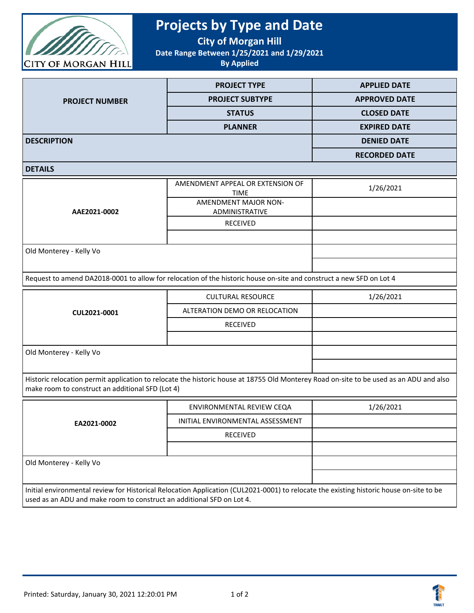

## **Projects by Type and Date**

**City of Morgan Hill**

**Date Range Between 1/25/2021 and 1/29/2021**

**By Applied**

|                       | <b>PROJECT TYPE</b>    | <b>APPLIED DATE</b>  |
|-----------------------|------------------------|----------------------|
| <b>PROJECT NUMBER</b> | <b>PROJECT SUBTYPE</b> | <b>APPROVED DATE</b> |
|                       | <b>STATUS</b>          | <b>CLOSED DATE</b>   |
|                       | <b>PLANNER</b>         | <b>EXPIRED DATE</b>  |
| <b>DESCRIPTION</b>    |                        | <b>DENIED DATE</b>   |
|                       |                        | <b>RECORDED DATE</b> |

**DETAILS**

|                         | AMENDMENT APPEAL OR EXTENSION OF<br><b>TIME</b> | 1/26/2021 |
|-------------------------|-------------------------------------------------|-----------|
|                         | <b>AMENDMENT MAJOR NON-</b>                     |           |
| AAE2021-0002            | ADMINISTRATIVE                                  |           |
|                         | RECEIVED                                        |           |
|                         |                                                 |           |
| Old Monterey - Kelly Vo |                                                 |           |
|                         |                                                 |           |

Request to amend DA2018-0001 to allow for relocation of the historic house on-site and construct a new SFD on Lot 4

| CUL2021-0001            | <b>CULTURAL RESOURCE</b>      | 1/26/2021 |
|-------------------------|-------------------------------|-----------|
|                         | ALTERATION DEMO OR RELOCATION |           |
|                         | <b>RECEIVED</b>               |           |
|                         |                               |           |
| Old Monterey - Kelly Vo |                               |           |
|                         |                               |           |

Historic relocation permit application to relocate the historic house at 18755 Old Monterey Road on-site to be used as an ADU and also make room to construct an additional SFD (Lot 4)

| EA2021-0002                                                                                                                                                                                                      | ENVIRONMENTAL REVIEW CEQA        | 1/26/2021 |
|------------------------------------------------------------------------------------------------------------------------------------------------------------------------------------------------------------------|----------------------------------|-----------|
|                                                                                                                                                                                                                  | INITIAL ENVIRONMENTAL ASSESSMENT |           |
|                                                                                                                                                                                                                  | <b>RECEIVED</b>                  |           |
|                                                                                                                                                                                                                  |                                  |           |
| Old Monterey - Kelly Vo                                                                                                                                                                                          |                                  |           |
|                                                                                                                                                                                                                  |                                  |           |
| Initial environmental review for Historical Relocation Application (CUL2021-0001) to relocate the existing historic house on-site to be<br>used as an ADU and make room to construct an additional SFD on Lot 4. |                                  |           |